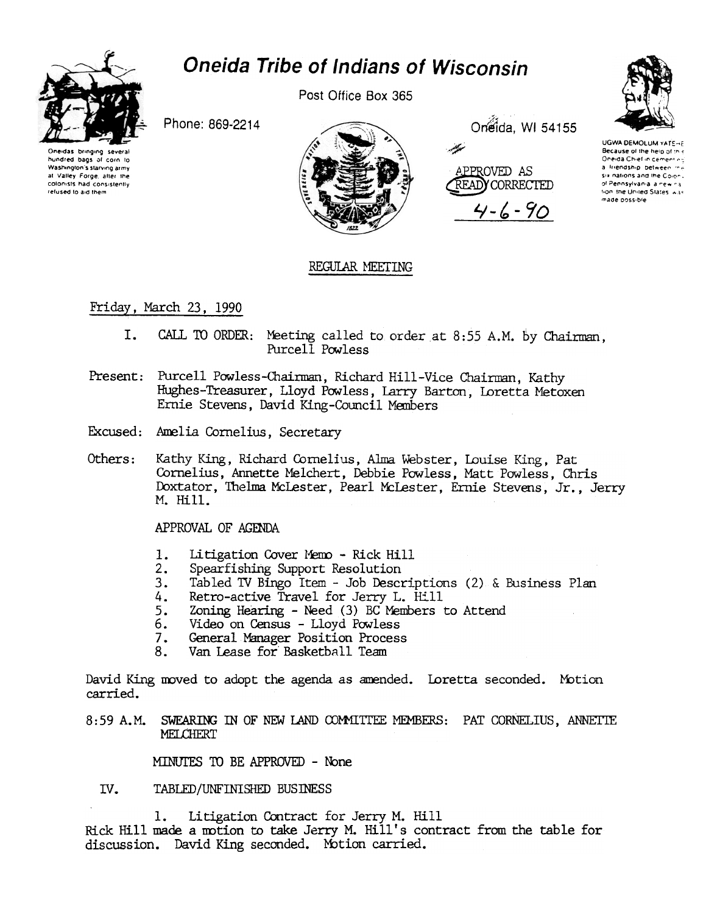

# **Oneida Tribe of Indians of Wisconsin**

Post Office Box 365



Phone: 869-2214

Oneidas bringing hundred baos of corn to Washington's starving army at Valley Forge, after the colonists had consistently refused to aid them

Oneida, WI 54155



 $4 - 6 - 90$ 



# REGULAR MEETING

# Friday, March 23, 1990

- $I.$ CALL TO ORDER: Meeting called to order at 8:55 A.M. by Chairman. Purcell Powless
- Present: Purcell Powless-Chairman, Richard Hill-Vice Chairman, Kathy Hughes-Treasurer, Lloyd Powless, Larry Barton, Loretta Metoxen Ernie Stevens, David King-Council Members
- Excused: Amelia Cornelius, Secretary
- Others: Kathy King, Richard Cornelius, Alma Webster, Louise King, Pat Cornelius, Annette Melchert, Debbie Powless, Matt Powless, Chris Doxtator, Thelma McLester, Pearl McLester, Ernie Stevens, Jr., Jerry M. Hill.

APPROVAL OF AGENDA

- 1. Litigation Cover Memo - Rick Hill
- $2.$ Spearfishing Support Resolution
- $3<sub>1</sub>$ Tabled TV Bingo Item - Job Descriptions (2) & Business Plan
- Retro-active Travel for Jerry L. Hill 4.
- Zoning Hearing Need (3) BC Members to Attend 5.
- Video on Census Lloyd Powless 6.
- General Manager Position Process 7.
- Van Lease for Basketball Team 8.

David King moved to adopt the agenda as amended. Loretta seconded. Motion carried.

8:59 A.M. SWEARING IN OF NEW LAND COMMITTEE MEMBERS: PAT CORNELIUS, ANNETTE MELCHERT

MINUTES TO BE APPROVED - None

#### IV. TABLED/UNFINISHED BUSINESS

1. Litigation Contract for Jerry M. Hill Rick Hill made a motion to take Jerry M. Hill's contract from the table for discussion. David King seconded. Motion carried.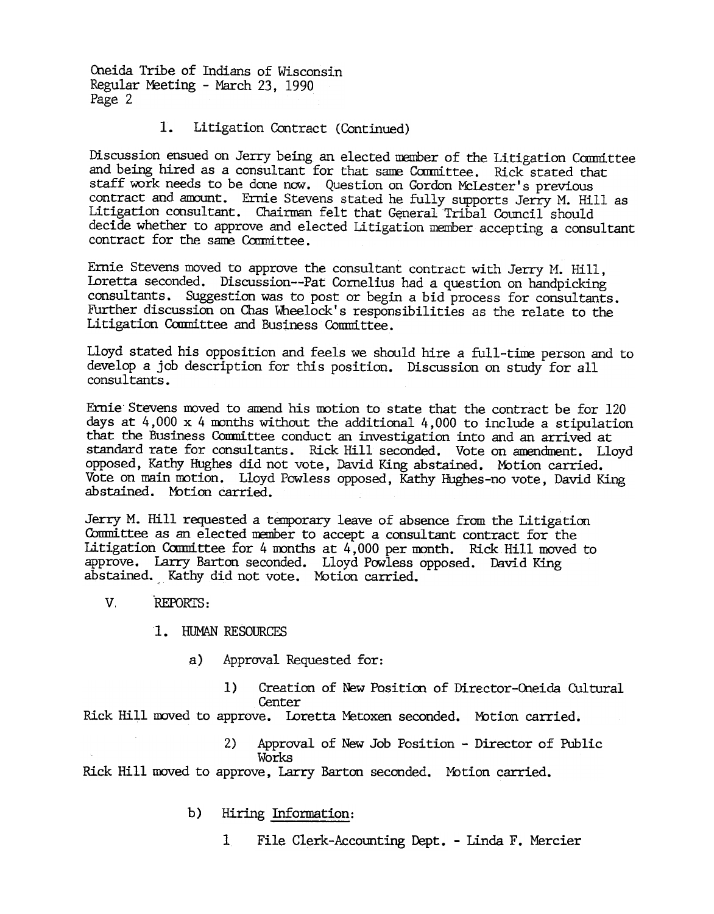Oneida Tribe of Indians of Wisconsin Regular Meeting - March 23, 1990 Page 2

#### $1.$ Litigation Contract (Contmued)

Discussion ensued on Jerry being an elected member of the Litigation Committee and being hired as a consultant for that same Committee. Rick stated that staff work needs to be done now. Question on Gordon McLester's previous contract and amount. Ernie Stevens stated he fully supports Jerry M. Hill as Litigation consultant. Chairman felt that General Tribal Council should decide whether to approve and elected Litigation member accepting a consultant contract for the same Committee.

Ernie Stevens moved to approve the consultant contract with Jerry M. Hill, Loretta seconded. Discussion--Pat Cornelius had a question on handpicking consultants. Suggestion was to post or begin a bid process for consultants. Further discussion on Chas Wheelock's responsibilities as the relate to the Litigation Committee and Business Committee.

Lloyd stated his opposition and feels we should hire a full-time person and to develop a job description for this position. Discussion on study for all consul tants .

Ernie Stevens moved to amend his motion to state that the contract be for 120 days at  $4,000 \times 4$  months without the additional  $4,000$  to include a stipulation that the Business Conmittee conduct an investigation into and an arrived at standard rate for consultants. Rick Hill seconded. Vote on amendment. Lloyd opposed, Kathy Hughes did not vote, David King abstained. Motion carried. Vote on main motion. Lloyd Powless opposed, Kathy Hughes-no vote, David King abstained. Motion carried.

Jerry M. Hill requested a temporary leave of absence from the Litigation Committee as an elected member to accept a consultant contract for the Litigation Committee for 4 months at  $4,000$  per month. Rick Hill moved to approve. Larry Barton seconded. Lloyd Powless opposed. David King abstained. Kathy did not vote. Motion carried.

- v. .REPORTS:
	- 1. HUMAN RESOURCES
		- a) Approval Requested for:
			- 1) Creation of New Position of Director-Oneida Cultural **Center**

Rick Hill moved to approve. Loretta Metoxen seconded. Motion carried.

2) Approval of New Job Position - Director of Public Works

Rick Hill moved to approve, Larry Barton seconded. Motion carried.

- b) Hiring Information:
	- 1 File Clerk-Accounting Dept. Linda F. Mercier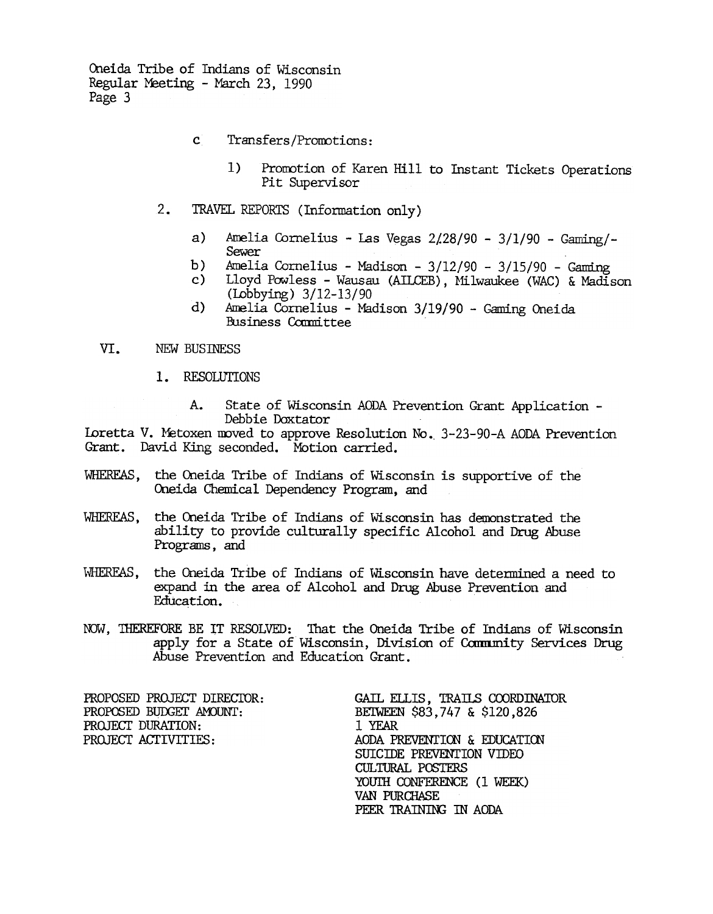Oneida Tribe of Indians of Wisconsin Regular Meeting - March 23, 1990 Page 3

- $\mathbf{C}^{\top}$ Transfers/Promotions:
	- Promotion of Karen Hill to Instant Tickets Operations  $1)$ Pit Supervisor
- $2.$ TRAVEL REPORTS (Information only)
	- $a)$ Amelia Cornelius - Las Vegas 2/28/90 - 3/1/90 - Gaming/-Sewer
	- Amelia Cornelius Madison 3/12/90 3/15/90 Gaming  $b)$
	- Lloyd Powless Wausau (AILCEB). Milwaukee (WAC) & Madison  $\mathbf{c}$ ) (Lobbying) 3/12-13/90
	- Amelia Cornelius Madison 3/19/90 Gaming Oneida  $\mathbf{d}$ Business Committee

#### VI. NEW BUSINESS

1. RESOLUTIONS

 $A_{\bullet}$ State of Wisconsin AODA Prevention Grant Application -Debbie Doxtator

Loretta V. Metoxen moved to approve Resolution No. 3-23-90-A AODA Prevention Grant. David King seconded. Motion carried.

- WHEREAS, the Oneida Tribe of Indians of Wisconsin is supportive of the Oneida Chemical Dependency Program, and
- the Oneida Tribe of Indians of Wisconsin has demonstrated the WHEREAS, ability to provide culturally specific Alcohol and Drug Abuse Programs, and
- the Oneida Tribe of Indians of Wisconsin have determined a need to WHEREAS. expand in the area of Alcohol and Drug Abuse Prevention and Education.
- NOW, THEREFORE BE IT RESOLVED: That the Oneida Tribe of Indians of Wisconsin apply for a State of Wisconsin, Division of Community Services Drug Abuse Prevention and Education Grant.

PROPOSED PROJECT DIRECTOR: PROPOSED BUDGET AMOUNT: PROJECT DURATION: PROJECT ACTIVITIES:

GAIL ELLIS, TRAILS COORDINATOR BEIWEEN \$83,747 & \$120,826 1 YEAR AODA PREVENTION & EDUCATION SUICIDE PREVENTION VIDEO **CULTURAL POSTERS** YOUTH CONFERENCE (1 WEEK) VAN PURCHASE PEER TRAINING IN AODA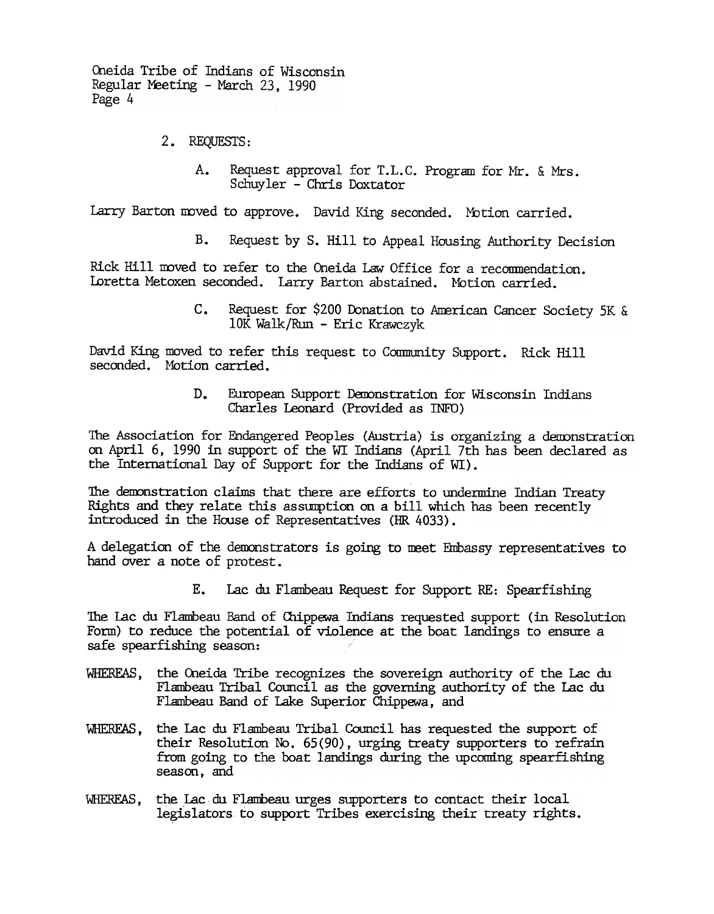Oneida Tribe of Indians of Wisconsin Regular Meeting - March 23, 1990 Page 4

- 2. REQUESTS:
	- A. Request approval for T.L.C. Program for Mr. & Mrs. Schuy ler -Chris Doxtator

Barton moved to approve. David King seconded. Motion carried

 $B<sub>1</sub>$ Request by S. Hill to Appeal Housing Authority Decision

Rick Hill moved to refer to the Oneida Law Office for a recommendation. Loretta Metoxen seconded. Larry Barton abstained. Motion carried.

> c. Request for \$200 Donation to American Cancer Society 5K & 10K Walk/Run -Eric Krawczyk

David King moved to refer this request to Community Support. Rick Hill seconded. Motion carried.

> D. European Support Demonstration for Wisconsin Indians Charles Leonard (Provided as INFO)

The Association for Endangered Peoples (Austria) is organizing a demonstration on April 6, 1990 in support of the WI Indians (April 7th has been declared as the International Day of Support for the Indians of WI).

The demonstration claims that there are efforts to undermine Indian Treaty Rights and they relate this assumption on a bill which has been recently introduced in the House of Representatives (HR 4033).

A delegation of the demonstrators is going to meet Embassy representatives to hand over a note of protest.

> Ε. Lac du Flambeau Request for Support RE: Spearfishing

The Lac du Flambeau Band of Chippewa Indians requested support (in Resolution Form) to reduce the potential of violence at the boat landiqgs to ensure a safe spearfishing season:

- WHEREAS, the Oneida Tribe recognizes the sovereign authority of the Lac du Flambeau Tribal Council as the governing authority of the Lac du Flambeau Band of Lake Superior Chippewa, and
- WHEREAS, the Lac du Flambeau Tribal Council has requested the support of their Resolution No. 65(90), urging treaty supporters to refrain from going to the boat landings during the upcoming spearfishing season, and
- WHEREAS, the Lac du Flambeau urges supporters to contact their local legislators to support Tribes exercising their treaty rights.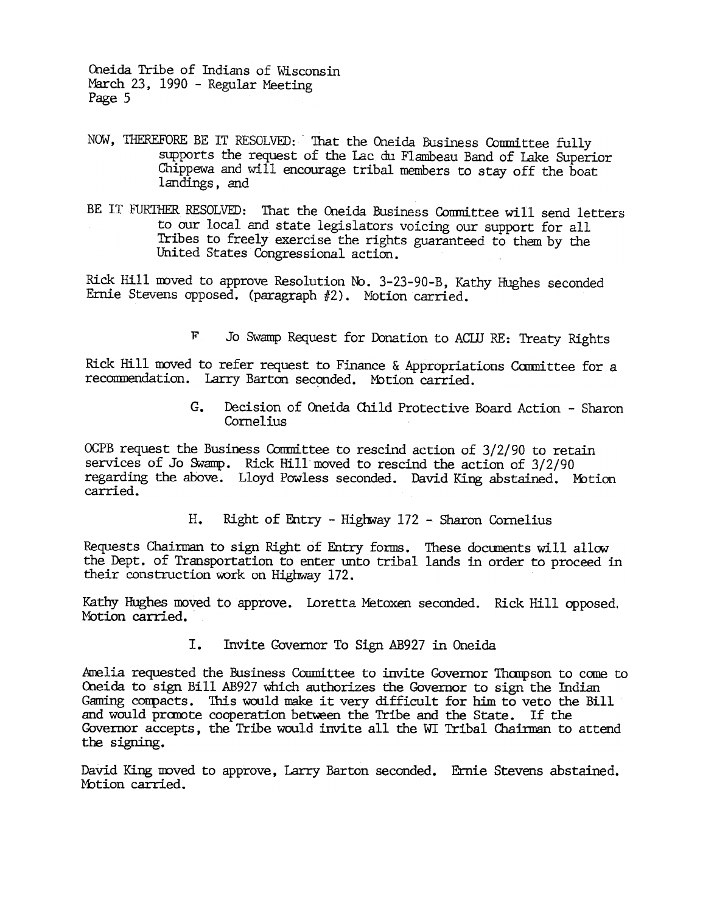Q1eida Tribe of Indians of Wisconsin March 23, 1990 - Regular Meeting Page 5

- NOW, 'ffiEREFORE BE IT RESOLVED: That the Oneida Business Conmittee fully supports the request of the lac du Flambeau Band of lake Superior Chippewa and will encourage tribal members to stay off the boat landings, and
- BE IT FURTHER RESOLVED: That the Oneida Business Committee will send letters to our local and state legislators voicing our support for all Tribes to freely exercise the rights guaranteed to them by the United States Congressional action.

Rick Hill moved to approve Resolution No. 3-23-90-B, Kathy Hughes seconded Ernie Stevens opposed. (paragraph #2). Motion carried.

F. Jo Swamp Request for Donation to ACIU RE: Treaty Rights

Rick Hill moved to refer request to Finance & Appropriations Committee for a recommendation. Larry Barton seconded. Motion carried.

> G. Decision of Oneida Child Protective Board Action -Sharon Cornelius

OCPB request the Business Committee to rescind action of 3/2/90 to retain services of Jo Swamp. Rick Hill moved to rescind the action of 3/2/90 regarding the above. Lloyd Powless seconded. David King abstained. Motion carried.

H. Right of Entry - Highway 172 - Sharon Cornelius

Requests Chairman to sign Right of Entry forms. These documents will allow the Dept. of Transportation to enter unto tribal lands in order to proceed in their construction work on Highway 172.

Kathy Hughes moved to approve. Loretta Metoxen seconded. Rick Hill opposed. Motion carried.

> I. Invite Covernor To Sign AB927 in Oneida

Amelia requested the Business Committee to invite Governor Thampson to come to Oneida to sign Bill AB927 which authorizes the Governor to sign the Indian Gaming compacts. This would make it very difficult for him to veto the Bill and would promote cooperation between the Tribe and the State. If the Governor accepts, the Tribe would invite all the WI Tribal Chairman to attend the signing.

David King moved to approve, Larry Barton seconded. Ernie Stevens abstaine Motion carried.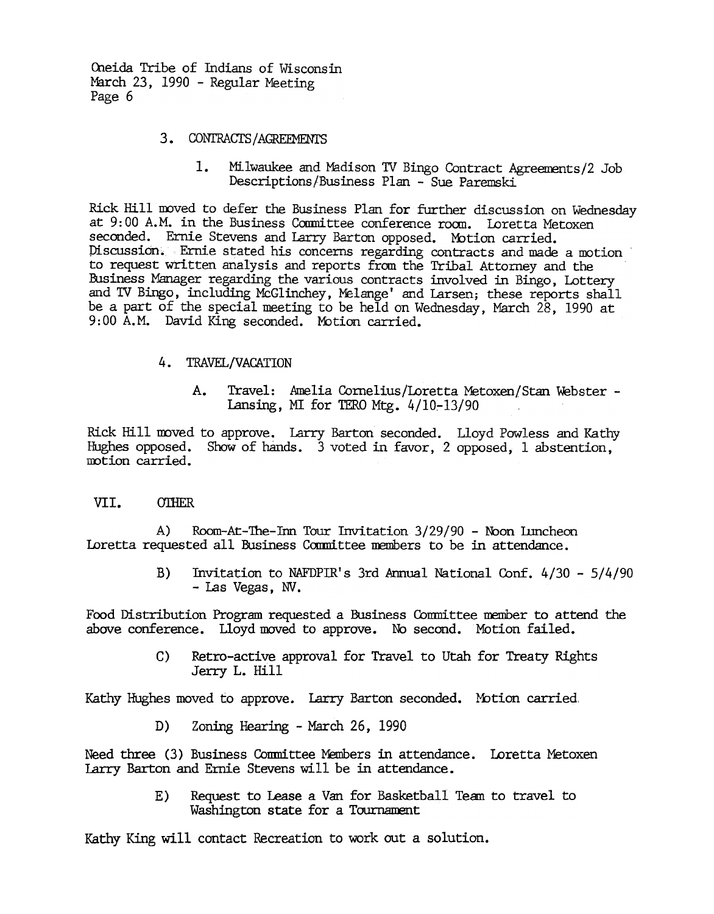Oneida Tribe of Indians of Wisconsin March 23, 1990 - Regular Meeting Page 6

### 3. CONTRACTS/AGREEMENTS

1. Milwaukee and Madison TV Bingo Contract Agreements/2 Job Descriptions/Business Plan - Sue Paremski

Rick Hill moved to defer the Business Plan for further discussion on Wednesday at 9:00 A.M. in the Business Committee conference room. Loretta Metoxen seconded. Ernie Stevens and Larry Barton opposed. Motion carried. Piscussion~ En1ie stated his concerns regarding contracts and made a motion to request written analysis and reports fran the Tribal Attorney and the Business Manager regarding the various contracts involved in Bingo, Lotter and IV Bingo, including McGlinchey, Yelange' and Larsen; these reports shall be a part of the special meeting to be held on Wednesday, March 28, 1990 at 9:00 A.M. David King seconded. Motion carried.

## 4. TRAVEL/VACATION

A. Travel: Amelia Cornelius/Loretta Metoxen/Stan webster - Lansing, MI for TERO Mtg.  $4/10-13/90$ 

Rick Hill moved to approve. Larry Barton seconded. Lloyd Powless and Kathy Hughes opposed. Show of hands. 3 voted in favor, 2 opposed, 1 abstention, motion carried.

### VII. **OTHER**

A) Room-At-The-Inn Tour Invitation 3/29/90 - Noon Inncheon Loretta requested all Business Committee members to be in attendance.

> B) Invitation to NAFDPIR's 3rd Armual futional Conf. 4/30 -5/4/90 -las Vegas, NV.

Food Distribution Program requested a Business Committee member to attend the above conference. Lloyd moved to approve. No second. Motion failed.

> C) Retro-active approval for Travel to Utah for Treaty Rights Jerry L. Hill

Kathy Hughes moved to approve. Larry Barton seconded. Motion carried,

D) Zoning Hearing - March 26, 1990

Need three (3) Business Committee Members in attendance. Loretta Metoxen Larry Barton and Ernie Stevens will be in attendance.

> Request to Lease a Van for Basketball Team to travel to Washington state for a Tournament E)

Kathy King will contact Recreation to work out a solution.